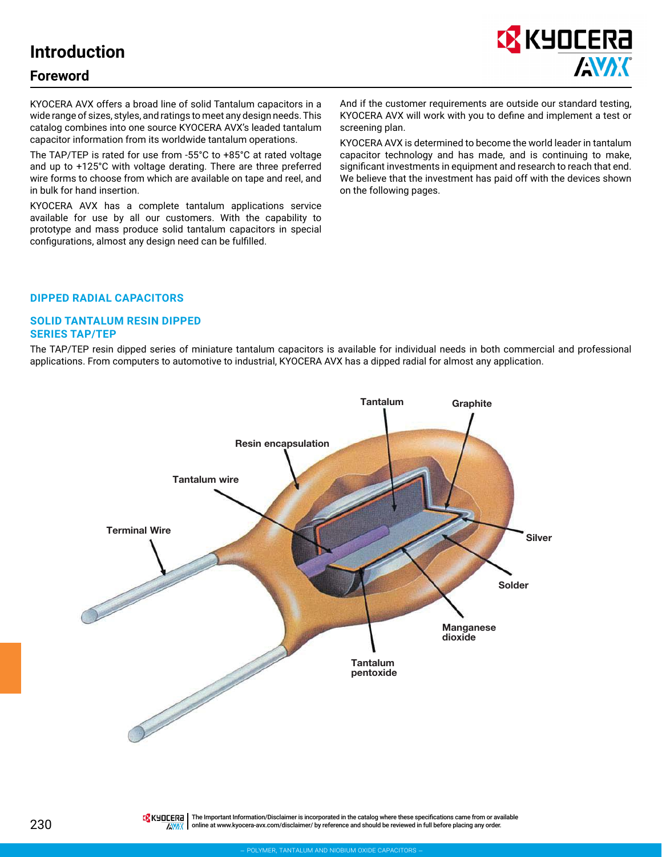# **Introduction**

### **Foreword**



KYOCERA AVX offers a broad line of solid Tantalum capacitors in a wide range of sizes, styles, and ratings to meet any design needs. This catalog combines into one source KYOCERA AVX's leaded tantalum capacitor information from its worldwide tantalum operations.

The TAP/TEP is rated for use from -55°C to +85°C at rated voltage and up to +125°C with voltage derating. There are three preferred wire forms to choose from which are available on tape and reel, and in bulk for hand insertion.

KYOCERA AVX has a complete tantalum applications service available for use by all our customers. With the capability to prototype and mass produce solid tantalum capacitors in special configurations, almost any design need can be fulfilled.

And if the customer requirements are outside our standard testing, KYOCERA AVX will work with you to define and implement a test or screening plan.

KYOCERA AVX is determined to become the world leader in tantalum capacitor technology and has made, and is continuing to make, significant investments in equipment and research to reach that end. We believe that the investment has paid off with the devices shown on the following pages.

#### **DIPPED RADIAL CAPACITORS**

#### **SOLID TANTALUM RESIN DIPPED SERIES TAP/TEP**

The TAP/TEP resin dipped series of miniature tantalum capacitors is available for individual needs in both commercial and professional applications. From computers to automotive to industrial, KYOCERA AVX has a dipped radial for almost any application.



230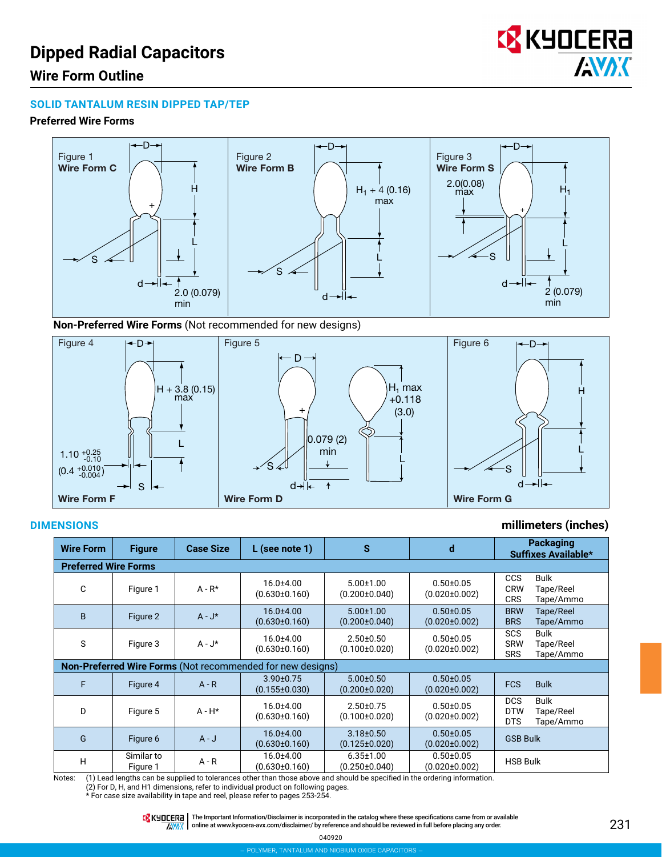# **Dipped Radial Capacitors**



## **Wire Form Outline**

#### **SOLID TANTALUM RESIN DIPPED TAP/TEP**

#### **Preferred Wire Forms**



**Non-Preferred Wire Forms** (Not recommended for new designs)



### **DIMENSIONS millimeters (inches)**

| <b>Wire Form</b> | <b>Figure</b>                                                     | <b>Case Size</b> | $L$ (see note 1)                       | $\mathbf{s}$                           | d                                      | <b>Packaging</b><br>Suffixes Available*                                         |  |  |  |  |  |  |  |
|------------------|-------------------------------------------------------------------|------------------|----------------------------------------|----------------------------------------|----------------------------------------|---------------------------------------------------------------------------------|--|--|--|--|--|--|--|
|                  | <b>Preferred Wire Forms</b>                                       |                  |                                        |                                        |                                        |                                                                                 |  |  |  |  |  |  |  |
| C                | Figure 1                                                          | $A - R^*$        | $16.0 \pm 4.00$<br>$(0.630 \pm 0.160)$ | $5.00 \pm 1.00$<br>$(0.200 \pm 0.040)$ | $0.50 + 0.05$<br>$(0.020 \pm 0.002)$   | <b>CCS</b><br><b>Bulk</b><br><b>CRW</b><br>Tape/Reel<br><b>CRS</b><br>Tape/Ammo |  |  |  |  |  |  |  |
| B                | Figure 2                                                          | $A - J^*$        | $16.0 + 4.00$<br>$(0.630 \pm 0.160)$   | $5.00 \pm 1.00$<br>$(0.200 \pm 0.040)$ | $0.50 \pm 0.05$<br>$(0.020 \pm 0.002)$ | <b>BRW</b><br>Tape/Reel<br><b>BRS</b><br>Tape/Ammo                              |  |  |  |  |  |  |  |
| S                | Figure 3                                                          | $A - J^*$        | $16.0 \pm 4.00$<br>$(0.630 \pm 0.160)$ | $2.50 \pm 0.50$<br>$(0.100 \pm 0.020)$ | $0.50 + 0.05$<br>$(0.020 \pm 0.002)$   | <b>Bulk</b><br><b>SCS</b><br><b>SRW</b><br>Tape/Reel<br><b>SRS</b><br>Tape/Ammo |  |  |  |  |  |  |  |
|                  | <b>Non-Preferred Wire Forms (Not recommended for new designs)</b> |                  |                                        |                                        |                                        |                                                                                 |  |  |  |  |  |  |  |
| F                | Figure 4                                                          | $A - R$          | $3.90 \pm 0.75$<br>$(0.155 \pm 0.030)$ | $5.00 \pm 0.50$<br>$(0.200 \pm 0.020)$ | $0.50 \pm 0.05$<br>$(0.020 \pm 0.002)$ | <b>FCS</b><br><b>Bulk</b>                                                       |  |  |  |  |  |  |  |
| D                | Figure 5                                                          | $A - H^*$        | $16.0 \pm 4.00$<br>$(0.630 \pm 0.160)$ | $2.50 \pm 0.75$<br>$(0.100 \pm 0.020)$ | $0.50 + 0.05$<br>$(0.020 \pm 0.002)$   | <b>DCS</b><br><b>Bulk</b><br><b>DTW</b><br>Tape/Reel<br><b>DTS</b><br>Tape/Ammo |  |  |  |  |  |  |  |
| G                | Figure 6                                                          | $A - J$          | $16.0 + 4.00$<br>$(0.630 \pm 0.160)$   | $3.18 + 0.50$<br>$(0.125 \pm 0.020)$   | $0.50 \pm 0.05$<br>$(0.020 \pm 0.002)$ | <b>GSB Bulk</b>                                                                 |  |  |  |  |  |  |  |
| H                | Similar to<br>Figure 1                                            | $A - R$          | $16.0 + 4.00$<br>$(0.630 \pm 0.160)$   | $6.35 \pm 1.00$<br>$(0.250 \pm 0.040)$ | $0.50 \pm 0.05$<br>$(0.020 \pm 0.002)$ | <b>HSB Bulk</b>                                                                 |  |  |  |  |  |  |  |

Notes: (1) Lead lengths can be supplied to tolerances other than those above and should be specified in the ordering information. (2) For D, H, and H1 dimensions, refer to individual product on following pages.

\* For case size availability in tape and reel, please refer to pages 253-254.

THE Important Information/Disclaimer is incorporated in the catalog where these specifications came from or available **AVAK** online at [www.kyocera-avx.com/disclaimer/](http://www.avx.com/disclaimer/) by reference and should be reviewed in full before placing any order.

040920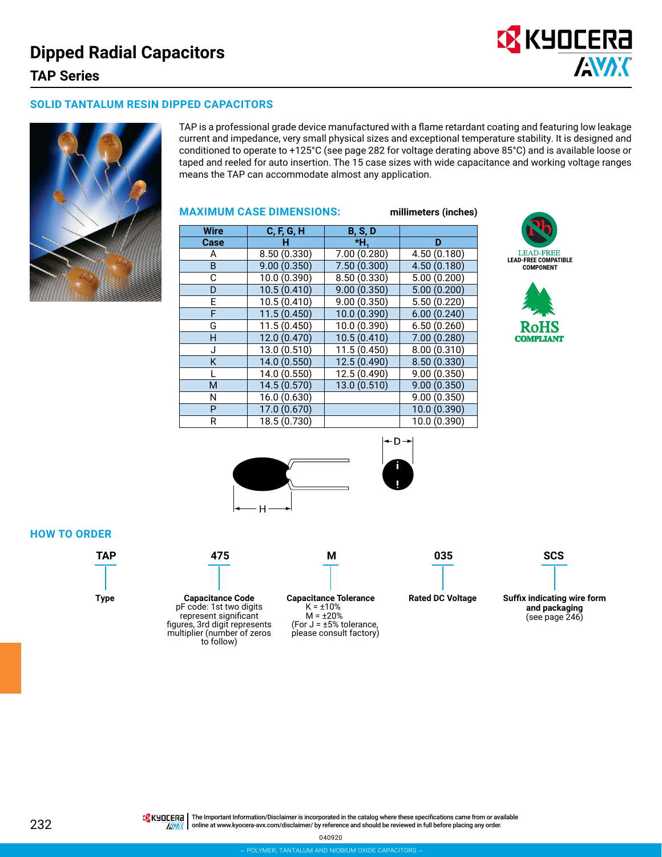

#### **SOLID TANTALUM RESIN DIPPED CAPACITORS**



TAP is a professional grade device manufactured with a flame retardant coating and featuring low leakage current and impedance, very small physical sizes and exceptional temperature stability. It is designed and conditioned to operate to +125°C (see page 282 for voltage derating above 85°C) and is available loose or taped and reeled for auto insertion. The 15 case sizes with wide capacitance and working voltage ranges means the TAP can accommodate almost any application.

#### **MAXIMUM CASE DIMENSIONS: millimeters (inches)**

| <b>Wire</b> | C, F, G, H   | <b>B, S, D</b> |              |
|-------------|--------------|----------------|--------------|
| Case        | н            | *Н.            | D            |
| A           | 8.50 (0.330) | 7.00 (0.280)   | 4.50 (0.180) |
| B           | 9.00(0.350)  | 7.50 (0.300)   | 4.50 (0.180) |
| С           | 10.0 (0.390) | 8.50 (0.330)   | 5.00(0.200)  |
| D           | 10.5(0.410)  | 9.00(0.350)    | 5.00(0.200)  |
| E           | 10.5(0.410)  | 9.00(0.350)    | 5.50 (0.220) |
| F           | 11.5(0.450)  | 10.0 (0.390)   | 6.00(0.240)  |
| G           | 11.5 (0.450) | 10.0 (0.390)   | 6.50(0.260)  |
| H           | 12.0 (0.470) | 10.5(0.410)    | 7.00 (0.280) |
| J           | 13.0 (0.510) | 11.5 (0.450)   | 8.00(0.310)  |
| K           | 14.0 (0.550) | 12.5 (0.490)   | 8.50(0.330)  |
|             | 14.0 (0.550) | 12.5 (0.490)   | 9.00(0.350)  |
| M           | 14.5 (0.570) | 13.0 (0.510)   | 9.00(0.350)  |
| N           | 16.0 (0.630) |                | 9.00(0.350)  |
| P           | 17.0 (0.670) |                | 10.0 (0.390) |
| R           | 18.5 (0.730) |                | 10.0 (0.390) |







#### **HOW TO ORDER**



**TAP 475 M 035 SCS**

**Type Suffix indicating wire form Capacitance Code** pF code: 1st two digits represent significant figures, 3rd digit represents **Capacitance Tolerance**  $K = \pm 10\%$ 

multiplier (number of zeros to follow)

 $M = \pm 20\%$ (For  $J = \pm 5\%$  tolerance, please consult factory)

**Rated DC Voltage**

**and packaging** (see page 246)

**TA** KHOCER<sub>E</sub> | The Important Information/Disclaimer is incorporated in the catalog where these specifications came from or available AVAX online at [www.kyocera-avx.com/disclaimer/](http://www.avx.com/disclaimer/) by reference and should be reviewed in full before placing any order.

040920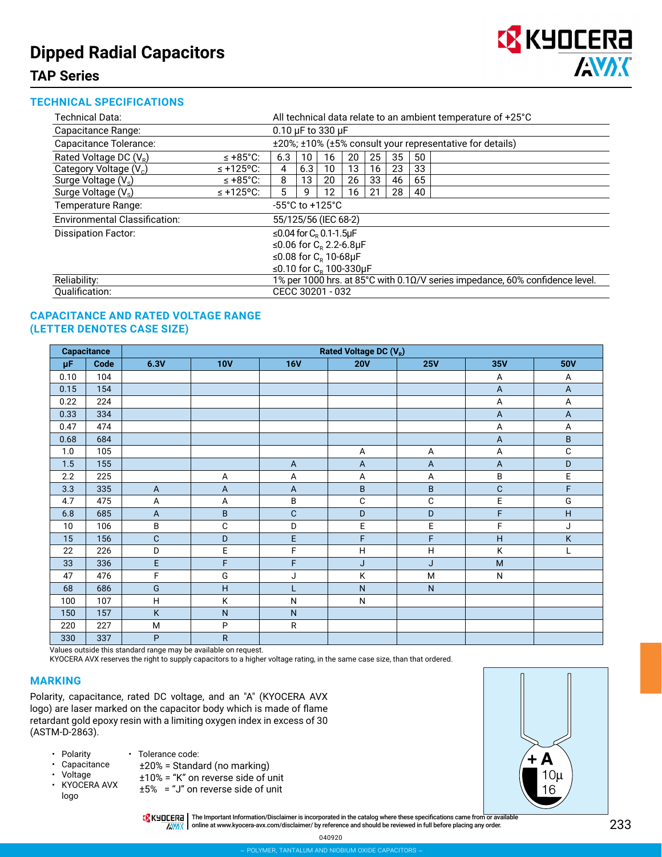# **Dipped Radial Capacitors**



# **TAP Series**

#### **TECHNICAL SPECIFICATIONS**

| <b>Technical Data:</b>               | All technical data relate to an ambient temperature of +25°C                 |                                                          |     |    |    |    |    |    |  |  |
|--------------------------------------|------------------------------------------------------------------------------|----------------------------------------------------------|-----|----|----|----|----|----|--|--|
| Capacitance Range:                   | $0.10 \mu F$ to 330 $\mu F$                                                  |                                                          |     |    |    |    |    |    |  |  |
| Capacitance Tolerance:               |                                                                              | ±20%; ±10% (±5% consult your representative for details) |     |    |    |    |    |    |  |  |
| Rated Voltage DC $(V_R)$             | $\leq$ +85°C:                                                                | 6.3                                                      | 10  | 16 | 20 | 25 | 35 | 50 |  |  |
| Category Voltage (V <sub>c</sub> )   | $\leq$ +125°C:                                                               | 4                                                        | 6.3 | 10 | 13 | 16 | 23 | 33 |  |  |
| Surge Voltage (V.)                   | $\leq$ +85°C:                                                                |                                                          |     |    |    | 33 | 46 | 65 |  |  |
| Surge Voltage (V <sub>s</sub> )      | 5                                                                            | 9                                                        | 12  | 16 | 21 | 28 | 40 |    |  |  |
| Temperature Range:                   |                                                                              | $-55^{\circ}$ C to $+125^{\circ}$ C                      |     |    |    |    |    |    |  |  |
| <b>Environmental Classification:</b> |                                                                              | 55/125/56 (IEC 68-2)                                     |     |    |    |    |    |    |  |  |
| <b>Dissipation Factor:</b>           |                                                                              | ≤0.04 for $C_{R}$ 0.1-1.5µF                              |     |    |    |    |    |    |  |  |
|                                      |                                                                              | ≤0.06 for $C_{p}$ 2.2-6.8µF                              |     |    |    |    |    |    |  |  |
|                                      |                                                                              | ≤0.08 for $CB$ 10-68µF                                   |     |    |    |    |    |    |  |  |
|                                      | ≤0.10 for $C_R$ 100-330µF                                                    |                                                          |     |    |    |    |    |    |  |  |
| Reliability:                         | 1% per 1000 hrs. at 85°C with 0.10/V series impedance, 60% confidence level. |                                                          |     |    |    |    |    |    |  |  |
| Qualification:                       |                                                                              | CECC 30201 - 032                                         |     |    |    |    |    |    |  |  |

#### **CAPACITANCE AND RATED VOLTAGE RANGE (LETTER DENOTES CASE SIZE)**

|                 | <b>Capacitance</b> | Rated Voltage DC (V <sub>R</sub> ) |              |                |                         |                |                |             |  |  |
|-----------------|--------------------|------------------------------------|--------------|----------------|-------------------------|----------------|----------------|-------------|--|--|
| μF              | Code               | 6.3V                               | <b>10V</b>   | <b>16V</b>     | <b>20V</b>              | <b>25V</b>     | 35V            | <b>50V</b>  |  |  |
| 0.10            | 104                |                                    |              |                |                         |                | A              | Α           |  |  |
| 0.15            | 154                |                                    |              |                |                         |                | $\overline{A}$ | $\mathsf A$ |  |  |
| 0.22            | 224                |                                    |              |                |                         |                | A              | A           |  |  |
| 0.33            | 334                |                                    |              |                |                         |                | A              | A           |  |  |
| 0.47            | 474                |                                    |              |                |                         |                | Α              | А           |  |  |
| 0.68            | 684                |                                    |              |                |                         |                | $\overline{A}$ | $\sf B$     |  |  |
| 1.0             | 105                |                                    |              |                | Α                       | Α              | А              | $\mathsf C$ |  |  |
| 1.5             | 155                |                                    |              | $\mathsf{A}$   | $\mathsf{A}$            | $\overline{A}$ | A              | $\mathsf D$ |  |  |
| 2.2             | 225                |                                    | Α            | А              | Α                       | Α              | B              | E           |  |  |
| 3.3             | 335                | $\overline{A}$                     | $\mathsf{A}$ | $\overline{A}$ | $\overline{\mathsf{B}}$ | $\sf B$        | C              | F           |  |  |
| 4.7             | 475                | А                                  | A            | B              | $\mathsf C$             | $\mathbf C$    | E              | G           |  |  |
| 6.8             | 685                | $\mathsf{A}$                       | $\sf B$      | $\mathsf C$    | $\mathsf D$             | $\mathsf D$    | F              | H           |  |  |
| 10 <sup>°</sup> | 106                | $\sf B$                            | $\mathbf C$  | D              | $\mathsf E$             | E              | F              | J           |  |  |
| 15              | 156                | $\mathsf C$                        | $\mathsf D$  | E              | $\overline{\mathsf{F}}$ | F              | H              | Κ           |  |  |
| 22              | 226                | D                                  | E            | F              | $\mathsf H$             | H              | Κ              | L           |  |  |
| 33              | 336                | E                                  | F            | F              | J                       | J              | M              |             |  |  |
| 47              | 476                | F                                  | G            | J              | Κ                       | M              | $\mathsf{N}$   |             |  |  |
| 68              | 686                | G                                  | H            | L              | $\mathsf{N}$            | $\mathsf{N}$   |                |             |  |  |
| 100             | 107                | H                                  | Κ            | ${\sf N}$      | $\mathsf{N}$            |                |                |             |  |  |
| 150             | 157                | Κ                                  | $\mathsf{N}$ | ${\sf N}$      |                         |                |                |             |  |  |
| 220             | 227                | M                                  | ${\sf P}$    | ${\sf R}$      |                         |                |                |             |  |  |
| 330             | 337                | P                                  | ${\sf R}$    |                |                         |                |                |             |  |  |

Values outside this standard range may be available on request.

KYOCERA AVX reserves the right to supply capacitors to a higher voltage rating, in the same case size, than that ordered.

#### **MARKING**

Polarity, capacitance, rated DC voltage, and an "A" (KYOCERA AVX logo) are laser marked on the capacitor body which is made of flame retardant gold epoxy resin with a limiting oxygen index in excess of 30 (ASTM-D-2863).

• Tolerance code:

- Polarity
- Capacitance
- Voltage
- KYOCERA AVX logo
- ±20% = Standard (no marking)
- ±10% = "K" on reverse side of unit
- ±5% = "J" on reverse side of unit



THE Important Information/Disclaimer is incorporated in the catalog where these specifications came from or available AVAX | online at [www.kyocera-avx.com/disclaimer/](http://www.avx.com/disclaimer/) by reference and should be reviewed in full before placing any order.